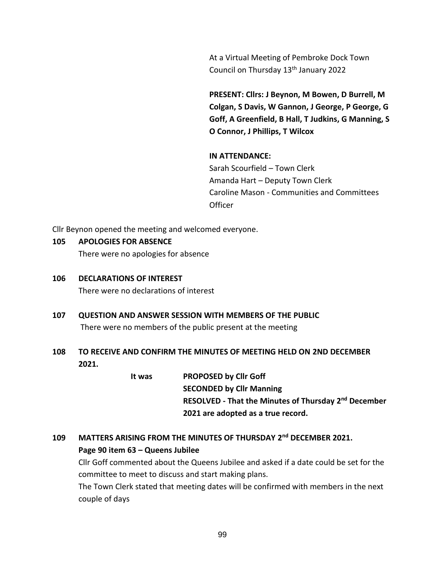At a Virtual Meeting of Pembroke Dock Town Council on Thursday 13th January 2022

**PRESENT: Cllrs: J Beynon, M Bowen, D Burrell, M Colgan, S Davis, W Gannon, J George, P George, G Goff, A Greenfield, B Hall, T Judkins, G Manning, S O Connor, J Phillips, T Wilcox**

#### **IN ATTENDANCE:**

Sarah Scourfield – Town Clerk Amanda Hart – Deputy Town Clerk Caroline Mason - Communities and Committees **Officer** 

Cllr Beynon opened the meeting and welcomed everyone.

#### **105 APOLOGIES FOR ABSENCE**

There were no apologies for absence

**106 DECLARATIONS OF INTEREST**

There were no declarations of interest

- **107 QUESTION AND ANSWER SESSION WITH MEMBERS OF THE PUBLIC** There were no members of the public present at the meeting
- **108 TO RECEIVE AND CONFIRM THE MINUTES OF MEETING HELD ON 2ND DECEMBER 2021.**

**It was PROPOSED by Cllr Goff SECONDED by Cllr Manning RESOLVED - That the Minutes of Thursday 2 nd December 2021 are adopted as a true record.**

# **109 MATTERS ARISING FROM THE MINUTES OF THURSDAY 2 nd DECEMBER 2021. Page 90 item 63 – Queens Jubilee**

Cllr Goff commented about the Queens Jubilee and asked if a date could be set for the committee to meet to discuss and start making plans.

The Town Clerk stated that meeting dates will be confirmed with members in the next couple of days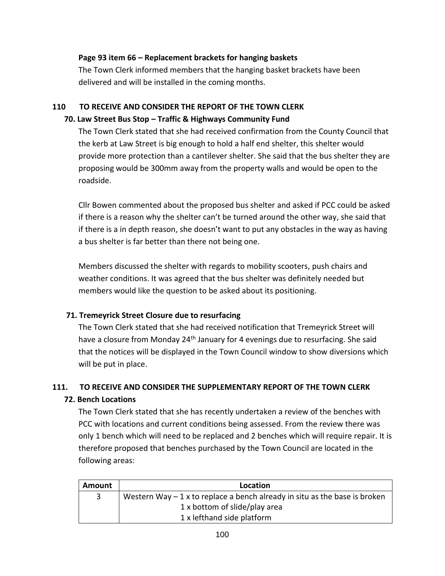#### **Page 93 item 66 – Replacement brackets for hanging baskets**

The Town Clerk informed members that the hanging basket brackets have been delivered and will be installed in the coming months.

# **110 TO RECEIVE AND CONSIDER THE REPORT OF THE TOWN CLERK**

#### **70. Law Street Bus Stop – Traffic & Highways Community Fund**

The Town Clerk stated that she had received confirmation from the County Council that the kerb at Law Street is big enough to hold a half end shelter, this shelter would provide more protection than a cantilever shelter. She said that the bus shelter they are proposing would be 300mm away from the property walls and would be open to the roadside.

Cllr Bowen commented about the proposed bus shelter and asked if PCC could be asked if there is a reason why the shelter can't be turned around the other way, she said that if there is a in depth reason, she doesn't want to put any obstacles in the way as having a bus shelter is far better than there not being one.

Members discussed the shelter with regards to mobility scooters, push chairs and weather conditions. It was agreed that the bus shelter was definitely needed but members would like the question to be asked about its positioning.

# **71. Tremeyrick Street Closure due to resurfacing**

The Town Clerk stated that she had received notification that Tremeyrick Street will have a closure from Monday 24<sup>th</sup> January for 4 evenings due to resurfacing. She said that the notices will be displayed in the Town Council window to show diversions which will be put in place.

# **111. TO RECEIVE AND CONSIDER THE SUPPLEMENTARY REPORT OF THE TOWN CLERK 72. Bench Locations**

The Town Clerk stated that she has recently undertaken a review of the benches with PCC with locations and current conditions being assessed. From the review there was only 1 bench which will need to be replaced and 2 benches which will require repair. It is therefore proposed that benches purchased by the Town Council are located in the following areas:

| Amount | Location                                                                    |
|--------|-----------------------------------------------------------------------------|
| 3      | Western Way $-1$ x to replace a bench already in situ as the base is broken |
|        | 1 x bottom of slide/play area                                               |
|        | 1 x lefthand side platform                                                  |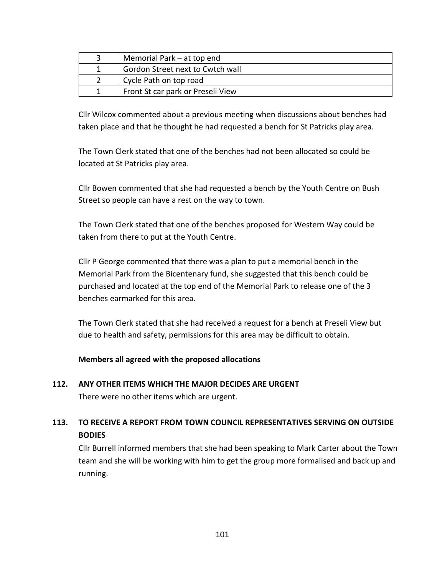| Memorial Park – at top end        |
|-----------------------------------|
| Gordon Street next to Cwtch wall  |
| Cycle Path on top road            |
| Front St car park or Preseli View |

Cllr Wilcox commented about a previous meeting when discussions about benches had taken place and that he thought he had requested a bench for St Patricks play area.

The Town Clerk stated that one of the benches had not been allocated so could be located at St Patricks play area.

Cllr Bowen commented that she had requested a bench by the Youth Centre on Bush Street so people can have a rest on the way to town.

The Town Clerk stated that one of the benches proposed for Western Way could be taken from there to put at the Youth Centre.

Cllr P George commented that there was a plan to put a memorial bench in the Memorial Park from the Bicentenary fund, she suggested that this bench could be purchased and located at the top end of the Memorial Park to release one of the 3 benches earmarked for this area.

The Town Clerk stated that she had received a request for a bench at Preseli View but due to health and safety, permissions for this area may be difficult to obtain.

**Members all agreed with the proposed allocations**

# **112. ANY OTHER ITEMS WHICH THE MAJOR DECIDES ARE URGENT**

There were no other items which are urgent.

# **113. TO RECEIVE A REPORT FROM TOWN COUNCIL REPRESENTATIVES SERVING ON OUTSIDE BODIES**

Cllr Burrell informed members that she had been speaking to Mark Carter about the Town team and she will be working with him to get the group more formalised and back up and running.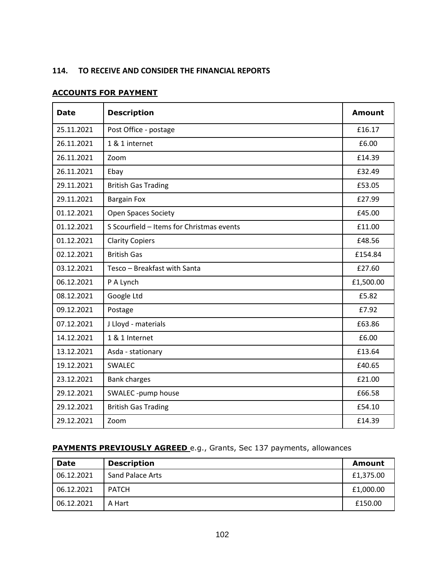#### **114. TO RECEIVE AND CONSIDER THE FINANCIAL REPORTS**

#### **ACCOUNTS FOR PAYMENT**

| <b>Date</b> | <b>Description</b>                        | <b>Amount</b> |
|-------------|-------------------------------------------|---------------|
| 25.11.2021  | Post Office - postage                     | £16.17        |
| 26.11.2021  | 1 & 1 internet                            | £6.00         |
| 26.11.2021  | Zoom                                      | £14.39        |
| 26.11.2021  | Ebay                                      | £32.49        |
| 29.11.2021  | <b>British Gas Trading</b>                | £53.05        |
| 29.11.2021  | <b>Bargain Fox</b>                        | £27.99        |
| 01.12.2021  | <b>Open Spaces Society</b>                | £45.00        |
| 01.12.2021  | S Scourfield - Items for Christmas events | £11.00        |
| 01.12.2021  | <b>Clarity Copiers</b>                    | £48.56        |
| 02.12.2021  | <b>British Gas</b>                        | £154.84       |
| 03.12.2021  | Tesco - Breakfast with Santa              | £27.60        |
| 06.12.2021  | P A Lynch                                 | £1,500.00     |
| 08.12.2021  | Google Ltd                                | £5.82         |
| 09.12.2021  | Postage                                   | £7.92         |
| 07.12.2021  | J Lloyd - materials                       | £63.86        |
| 14.12.2021  | 1 & 1 Internet                            | £6.00         |
| 13.12.2021  | Asda - stationary                         | £13.64        |
| 19.12.2021  | <b>SWALEC</b>                             | £40.65        |
| 23.12.2021  | <b>Bank charges</b>                       | £21.00        |
| 29.12.2021  | SWALEC -pump house                        | £66.58        |
| 29.12.2021  | <b>British Gas Trading</b>                | £54.10        |
| 29.12.2021  | Zoom                                      | £14.39        |

### **PAYMENTS PREVIOUSLY AGREED** e.g., Grants, Sec 137 payments, allowances

| <b>Date</b> | <b>Description</b>      | Amount    |
|-------------|-------------------------|-----------|
| 06.12.2021  | <b>Sand Palace Arts</b> | £1,375.00 |
| 06.12.2021  | <b>PATCH</b>            | £1,000.00 |
| 06.12.2021  | A Hart                  | £150.00   |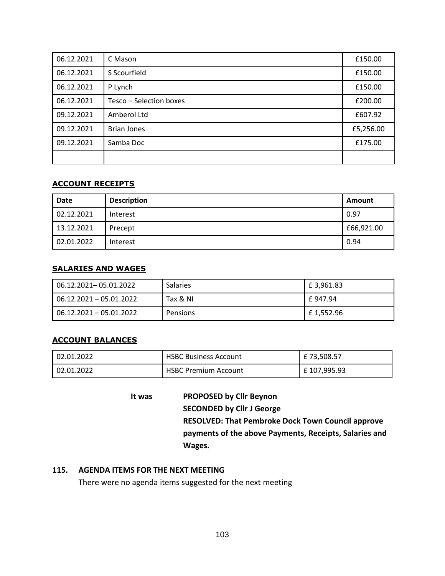| 06.12.2021 | C Mason                 | £150.00   |
|------------|-------------------------|-----------|
| 06.12.2021 | S Scourfield            | £150.00   |
| 06.12.2021 | P Lynch                 | £150.00   |
| 06.12.2021 | Tesco - Selection boxes | £200.00   |
| 09.12.2021 | Amberol Ltd             | £607.92   |
| 09.12.2021 | <b>Brian Jones</b>      | £5,256.00 |
| 09.12.2021 | Samba Doc               | £175.00   |
|            |                         |           |

#### **ACCOUNT RECEIPTS**

| <b>Date</b> | <b>Description</b> | <b>Amount</b> |
|-------------|--------------------|---------------|
| 02.12.2021  | Interest           | 0.97          |
| 13.12.2021  | Precept            | £66,921.00    |
| 02.01.2022  | Interest           | 0.94          |

#### **SALARIES AND WAGES**

| 06.12.2021-05.01.2022   | <b>Salaries</b> | £ 3,961.83 |
|-------------------------|-----------------|------------|
| 06.12.2021 - 05.01.2022 | Tax & NI        | £ 947.94   |
| 06.12.2021 - 05.01.2022 | Pensions        | £1,552.96  |

#### **ACCOUNT BALANCES**

| 02.01.2022 | <b>HSBC Business Account</b> | £ 73,508.57  |
|------------|------------------------------|--------------|
| 02.01.2022 | <b>HSBC Premium Account</b>  | £ 107,995.93 |

**It was PROPOSED by Cllr Beynon SECONDED by Cllr J George RESOLVED: That Pembroke Dock Town Council approve payments of the above Payments, Receipts, Salaries and Wages.**

#### **115. AGENDA ITEMS FOR THE NEXT MEETING**

There were no agenda items suggested for the next meeting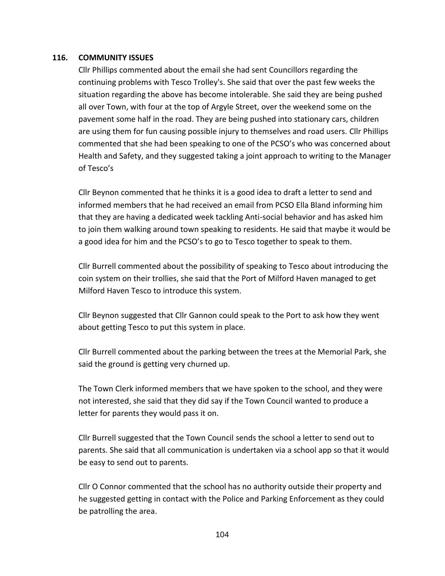#### **116. COMMUNITY ISSUES**

Cllr Phillips commented about the email she had sent Councillors regarding the continuing problems with Tesco Trolley's. She said that over the past few weeks the situation regarding the above has become intolerable. She said they are being pushed all over Town, with four at the top of Argyle Street, over the weekend some on the pavement some half in the road. They are being pushed into stationary cars, children are using them for fun causing possible injury to themselves and road users. Cllr Phillips commented that she had been speaking to one of the PCSO's who was concerned about Health and Safety, and they suggested taking a joint approach to writing to the Manager of Tesco's

Cllr Beynon commented that he thinks it is a good idea to draft a letter to send and informed members that he had received an email from PCSO Ella Bland informing him that they are having a dedicated week tackling Anti-social behavior and has asked him to join them walking around town speaking to residents. He said that maybe it would be a good idea for him and the PCSO's to go to Tesco together to speak to them.

Cllr Burrell commented about the possibility of speaking to Tesco about introducing the coin system on their trollies, she said that the Port of Milford Haven managed to get Milford Haven Tesco to introduce this system.

Cllr Beynon suggested that Cllr Gannon could speak to the Port to ask how they went about getting Tesco to put this system in place.

Cllr Burrell commented about the parking between the trees at the Memorial Park, she said the ground is getting very churned up.

The Town Clerk informed members that we have spoken to the school, and they were not interested, she said that they did say if the Town Council wanted to produce a letter for parents they would pass it on.

Cllr Burrell suggested that the Town Council sends the school a letter to send out to parents. She said that all communication is undertaken via a school app so that it would be easy to send out to parents.

Cllr O Connor commented that the school has no authority outside their property and he suggested getting in contact with the Police and Parking Enforcement as they could be patrolling the area.